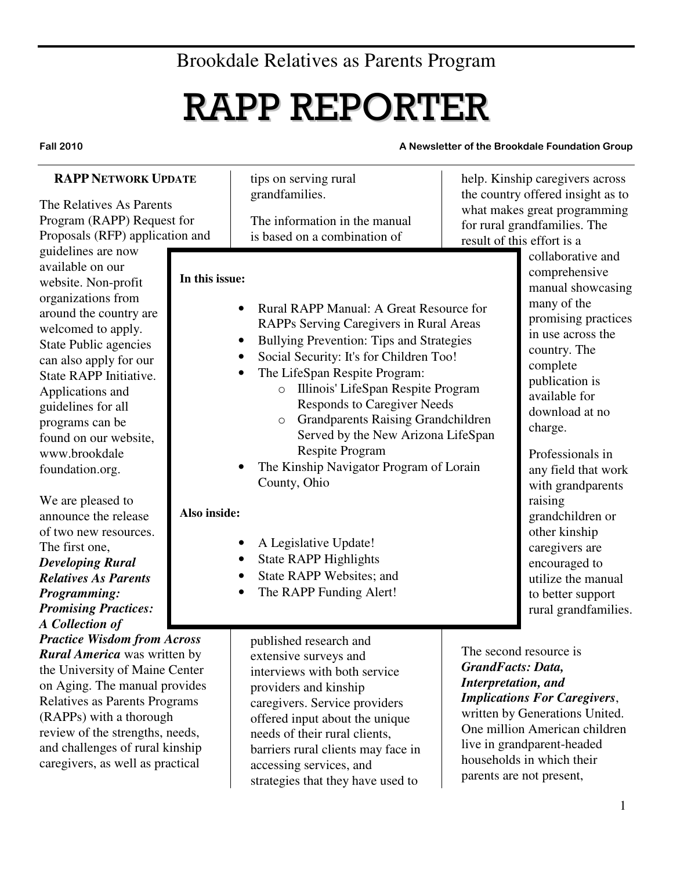# Brookdale Relatives as Parents Program

# RAPP REPORTER

#### Fall 2010 **A Newsletter of the Brookdale Foundation Group**

| <b>RAPP NETWORK UPDATE</b><br>The Relatives As Parents<br>Program (RAPP) Request for<br>Proposals (RFP) application and                                                                                                                                                                                                                                                                                                                                                                                                                            |                                | tips on serving rural<br>grandfamilies.<br>The information in the manual<br>is based on a combination of                                                                                                                                                                                                                                                                                                                                                                                                                                                                                                                                                                                     | help. Kinship caregivers across<br>the country offered insight as to<br>what makes great programming<br>for rural grandfamilies. The<br>result of this effort is a                                                                                                         |                                                                                                                                                                                                                                                                                                                                                                                                                                      |  |
|----------------------------------------------------------------------------------------------------------------------------------------------------------------------------------------------------------------------------------------------------------------------------------------------------------------------------------------------------------------------------------------------------------------------------------------------------------------------------------------------------------------------------------------------------|--------------------------------|----------------------------------------------------------------------------------------------------------------------------------------------------------------------------------------------------------------------------------------------------------------------------------------------------------------------------------------------------------------------------------------------------------------------------------------------------------------------------------------------------------------------------------------------------------------------------------------------------------------------------------------------------------------------------------------------|----------------------------------------------------------------------------------------------------------------------------------------------------------------------------------------------------------------------------------------------------------------------------|--------------------------------------------------------------------------------------------------------------------------------------------------------------------------------------------------------------------------------------------------------------------------------------------------------------------------------------------------------------------------------------------------------------------------------------|--|
| guidelines are now<br>available on our<br>website. Non-profit<br>organizations from<br>around the country are<br>welcomed to apply.<br><b>State Public agencies</b><br>can also apply for our<br>State RAPP Initiative.<br>Applications and<br>guidelines for all<br>programs can be<br>found on our website,<br>www.brookdale<br>foundation.org.<br>We are pleased to<br>announce the release<br>of two new resources.<br>The first one,<br><b>Developing Rural</b><br><b>Relatives As Parents</b><br>Programming:<br><b>Promising Practices:</b> | In this issue:<br>Also inside: | Rural RAPP Manual: A Great Resource for<br>$\bullet$<br>RAPPs Serving Caregivers in Rural Areas<br><b>Bullying Prevention: Tips and Strategies</b><br>$\bullet$<br>Social Security: It's for Children Too!<br>$\bullet$<br>The LifeSpan Respite Program:<br>Illinois' LifeSpan Respite Program<br>$\bigcirc$<br><b>Responds to Caregiver Needs</b><br><b>Grandparents Raising Grandchildren</b><br>$\circ$<br>Served by the New Arizona LifeSpan<br><b>Respite Program</b><br>The Kinship Navigator Program of Lorain<br>County, Ohio<br>A Legislative Update!<br>$\bullet$<br><b>State RAPP Highlights</b><br>$\bullet$<br>State RAPP Websites; and<br>The RAPP Funding Alert!<br>$\bullet$ |                                                                                                                                                                                                                                                                            | collaborative and<br>comprehensive<br>manual showcasing<br>many of the<br>promising practices<br>in use across the<br>country. The<br>complete<br>publication is<br>available for<br>download at no<br>charge.<br>Professionals in<br>any field that work<br>with grandparents<br>raising<br>grandchildren or<br>other kinship<br>caregivers are<br>encouraged to<br>utilize the manual<br>to better support<br>rural grandfamilies. |  |
| A Collection of<br><b>Practice Wisdom from Across</b><br><b>Rural America</b> was written by<br>the University of Maine Center<br>on Aging. The manual provides<br>Relatives as Parents Programs<br>(RAPPs) with a thorough<br>review of the strengths, needs,<br>and challenges of rural kinship<br>caregivers, as well as practical                                                                                                                                                                                                              |                                | published research and<br>extensive surveys and<br>interviews with both service<br>providers and kinship<br>caregivers. Service providers<br>offered input about the unique<br>needs of their rural clients,<br>barriers rural clients may face in<br>accessing services, and<br>strategies that they have used to                                                                                                                                                                                                                                                                                                                                                                           | The second resource is<br><b>GrandFacts: Data,</b><br>Interpretation, and<br><b>Implications For Caregivers,</b><br>written by Generations United.<br>One million American children<br>live in grandparent-headed<br>households in which their<br>parents are not present, |                                                                                                                                                                                                                                                                                                                                                                                                                                      |  |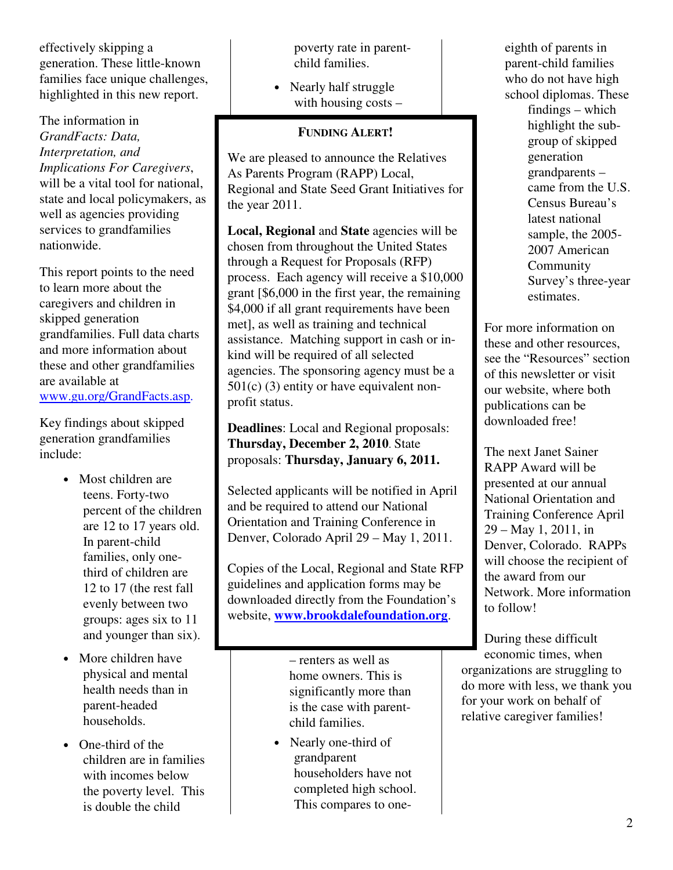effectively skipping a generation. These little-known families face unique challenges, highlighted in this new report.

The information in *GrandFacts: Data, Interpretation, and Implications For Caregivers*, will be a vital tool for national. state and local policymakers, as well as agencies providing services to grandfamilies nationwide.

This report points to the need to learn more about the caregivers and children in skipped generation grandfamilies. Full data charts and more information about these and other grandfamilies are available at www.gu.org/GrandFacts.asp.

Key findings about skipped generation grandfamilies include:

- Most children are teens. Forty-two percent of the children are 12 to 17 years old. In parent-child families, only onethird of children are 12 to 17 (the rest fall evenly between two groups: ages six to 11 and younger than six).
- More children have physical and mental health needs than in parent-headed households.
- One-third of the children are in families with incomes below the poverty level. This is double the child

poverty rate in parentchild families.

• Nearly half struggle with housing costs –

# **FUNDING ALERT!**

We are pleased to announce the Relatives As Parents Program (RAPP) Local, Regional and State Seed Grant Initiatives for the year 2011.

**Local, Regional** and **State** agencies will be chosen from throughout the United States through a Request for Proposals (RFP) process. Each agency will receive a \$10,000 grant [\$6,000 in the first year, the remaining \$4,000 if all grant requirements have been met], as well as training and technical assistance. Matching support in cash or inkind will be required of all selected agencies. The sponsoring agency must be a 501(c) (3) entity or have equivalent nonprofit status.

**Deadlines**: Local and Regional proposals: **Thursday, December 2, 2010**. State proposals: **Thursday, January 6, 2011.** 

Selected applicants will be notified in April and be required to attend our National Orientation and Training Conference in Denver, Colorado April 29 – May 1, 2011.

Copies of the Local, Regional and State RFP guidelines and application forms may be downloaded directly from the Foundation's website, **www.brookdalefoundation.org**.

> – renters as well as home owners. This is significantly more than is the case with parentchild families.

• Nearly one-third of grandparent householders have not completed high school. This compares to oneeighth of parents in parent-child families who do not have high school diplomas. These findings – which highlight the subgroup of skipped generation grandparents – came from the U.S. Census Bureau's latest national sample, the 2005- 2007 American Community Survey's three-year estimates.

For more information on these and other resources, see the "Resources" section of this newsletter or visit our website, where both publications can be downloaded free!

The next Janet Sainer RAPP Award will be presented at our annual National Orientation and Training Conference April 29 – May 1, 2011, in Denver, Colorado. RAPPs will choose the recipient of the award from our Network. More information to follow!

During these difficult economic times, when organizations are struggling to do more with less, we thank you for your work on behalf of relative caregiver families!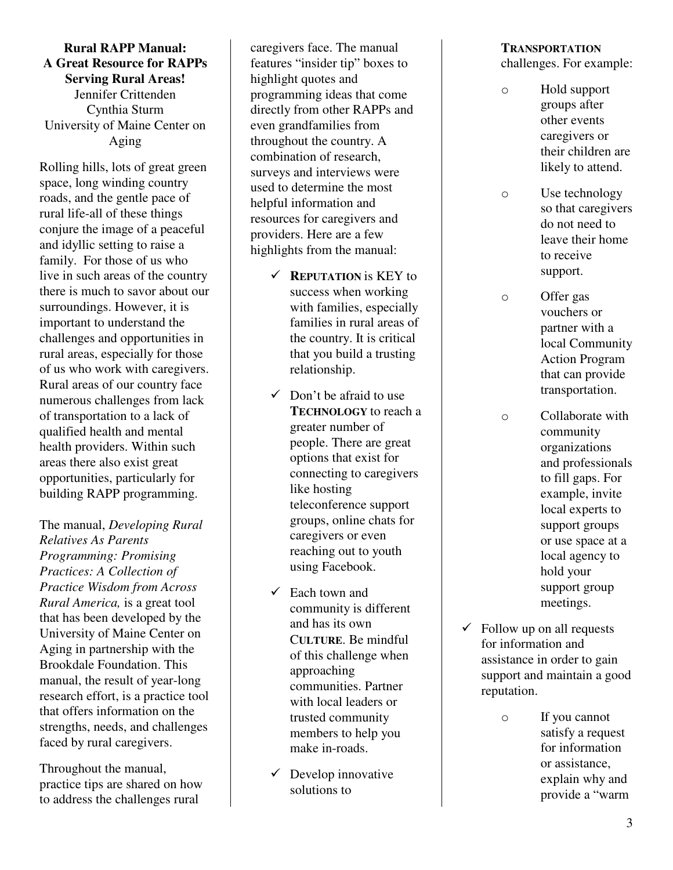**Rural RAPP Manual: A Great Resource for RAPPs Serving Rural Areas!**  Jennifer Crittenden Cynthia Sturm University of Maine Center on Aging

Rolling hills, lots of great green space, long winding country roads, and the gentle pace of rural life-all of these things conjure the image of a peaceful and idyllic setting to raise a family. For those of us who live in such areas of the country there is much to savor about our surroundings. However, it is important to understand the challenges and opportunities in rural areas, especially for those of us who work with caregivers. Rural areas of our country face numerous challenges from lack of transportation to a lack of qualified health and mental health providers. Within such areas there also exist great opportunities, particularly for building RAPP programming.

The manual, *Developing Rural Relatives As Parents Programming: Promising Practices: A Collection of Practice Wisdom from Across Rural America,* is a great tool that has been developed by the University of Maine Center on Aging in partnership with the Brookdale Foundation. This manual, the result of year-long research effort, is a practice tool that offers information on the strengths, needs, and challenges faced by rural caregivers.

Throughout the manual, practice tips are shared on how to address the challenges rural

caregivers face. The manual features "insider tip" boxes to highlight quotes and programming ideas that come directly from other RAPPs and even grandfamilies from throughout the country. A combination of research, surveys and interviews were used to determine the most helpful information and resources for caregivers and providers. Here are a few highlights from the manual:

- $\times$  **REPUTATION is KEY to** success when working with families, especially families in rural areas of the country. It is critical that you build a trusting relationship.
- $\checkmark$  Don't be afraid to use **TECHNOLOGY** to reach a greater number of people. There are great options that exist for connecting to caregivers like hosting teleconference support groups, online chats for caregivers or even reaching out to youth using Facebook.
- $\checkmark$  Each town and community is different and has its own C**ULTURE**. Be mindful of this challenge when approaching communities. Partner with local leaders or trusted community members to help you make in-roads.
- $\checkmark$  Develop innovative solutions to

# **TRANSPORTATION**

challenges. For example:

- o Hold support groups after other events caregivers or their children are likely to attend.
- o Use technology so that caregivers do not need to leave their home to receive support.
- o Offer gas vouchers or partner with a local Community Action Program that can provide transportation.
- o Collaborate with community organizations and professionals to fill gaps. For example, invite local experts to support groups or use space at a local agency to hold your support group meetings.
- $\checkmark$  Follow up on all requests for information and assistance in order to gain support and maintain a good reputation.
	- o If you cannot satisfy a request for information or assistance, explain why and provide a "warm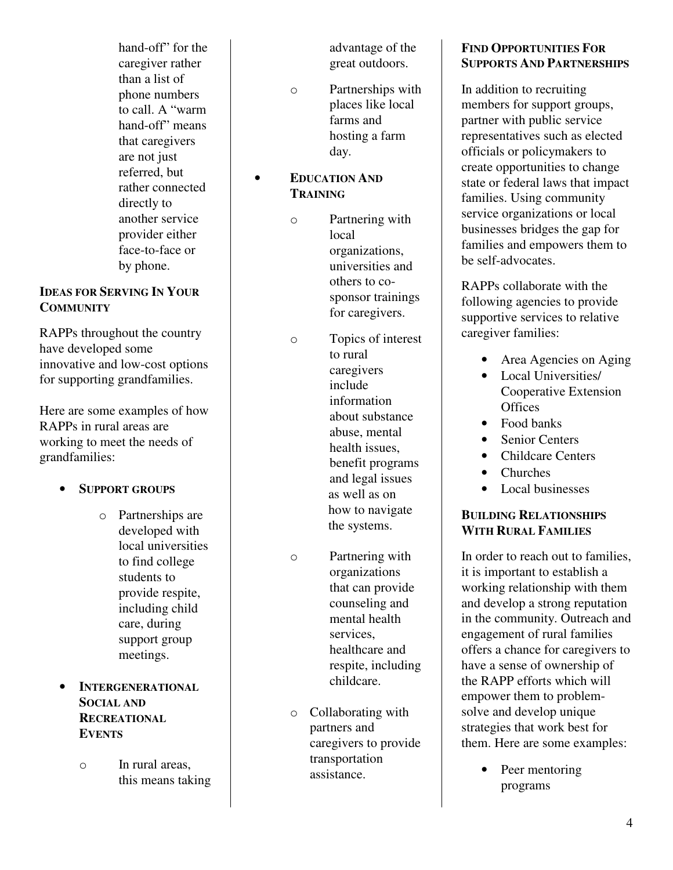hand-off" for the caregiver rather than a list of phone numbers to call. A "warm hand-off" means that caregivers are not just referred, but rather connected directly to another service provider either face-to-face or by phone.

# **IDEAS FOR SERVING IN YOUR COMMUNITY**

RAPPs throughout the country have developed some innovative and low-cost options for supporting grandfamilies.

Here are some examples of how RAPPs in rural areas are working to meet the needs of grandfamilies:

- **SUPPORT GROUPS**
	- o Partnerships are developed with local universities to find college students to provide respite, including child care, during support group meetings.
- **INTERGENERATIONAL SOCIAL AND RECREATIONAL EVENTS** 
	- o In rural areas, this means taking

advantage of the great outdoors.

- o Partnerships with places like local farms and hosting a farm day.
- **EDUCATION AND TRAINING**
	- o Partnering with local organizations, universities and others to cosponsor trainings for caregivers.
	- o Topics of interest to rural caregivers include information about substance abuse, mental health issues, benefit programs and legal issues as well as on how to navigate the systems.
	- o Partnering with organizations that can provide counseling and mental health services, healthcare and respite, including childcare.
	- o Collaborating with partners and caregivers to provide transportation assistance.

# **FIND OPPORTUNITIES FOR SUPPORTS AND PARTNERSHIPS**

In addition to recruiting members for support groups, partner with public service representatives such as elected officials or policymakers to create opportunities to change state or federal laws that impact families. Using community service organizations or local businesses bridges the gap for families and empowers them to be self-advocates.

RAPPs collaborate with the following agencies to provide supportive services to relative caregiver families:

- Area Agencies on Aging
- Local Universities/ Cooperative Extension **Offices**
- Food banks
- **Senior Centers**
- Childcare Centers
- Churches
- Local businesses

# **BUILDING RELATIONSHIPS WITH RURAL FAMILIES**

In order to reach out to families, it is important to establish a working relationship with them and develop a strong reputation in the community. Outreach and engagement of rural families offers a chance for caregivers to have a sense of ownership of the RAPP efforts which will empower them to problemsolve and develop unique strategies that work best for them. Here are some examples:

> • Peer mentoring programs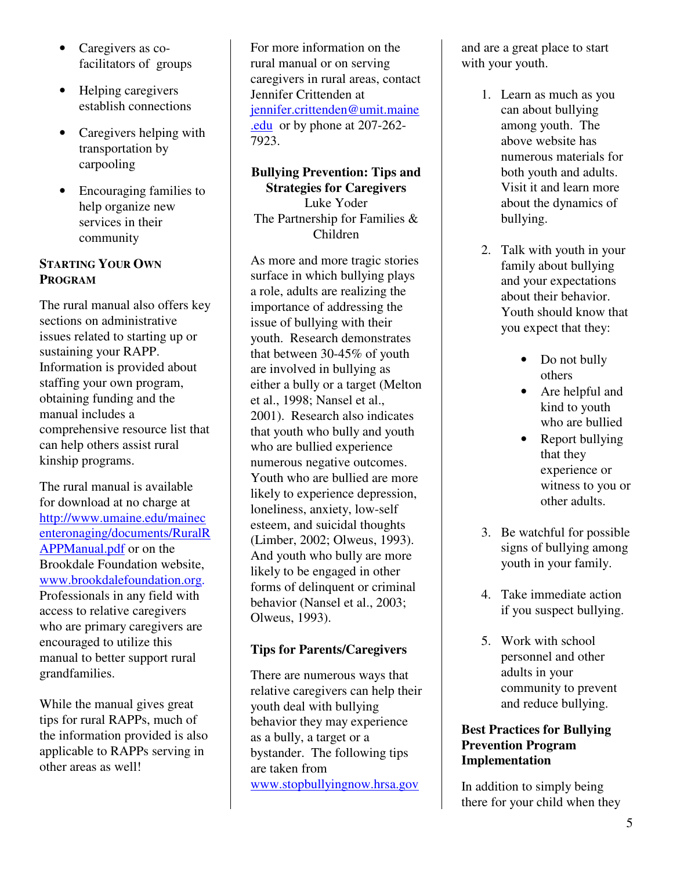- Caregivers as cofacilitators of groups
- Helping caregivers establish connections
- Caregivers helping with transportation by carpooling
- Encouraging families to help organize new services in their community

# **STARTING YOUR OWN PROGRAM**

The rural manual also offers key sections on administrative issues related to starting up or sustaining your RAPP. Information is provided about staffing your own program, obtaining funding and the manual includes a comprehensive resource list that can help others assist rural kinship programs.

The rural manual is available for download at no charge at http://www.umaine.edu/mainec enteronaging/documents/RuralR APPManual.pdf or on the Brookdale Foundation website, www.brookdalefoundation.org. Professionals in any field with access to relative caregivers who are primary caregivers are encouraged to utilize this manual to better support rural grandfamilies.

While the manual gives great tips for rural RAPPs, much of the information provided is also applicable to RAPPs serving in other areas as well!

For more information on the rural manual or on serving caregivers in rural areas, contact Jennifer Crittenden at jennifer.crittenden@umit.maine .edu or by phone at 207-262- 7923.

#### **Bullying Prevention: Tips and Strategies for Caregivers**  Luke Yoder

The Partnership for Families & Children

As more and more tragic stories surface in which bullying plays a role, adults are realizing the importance of addressing the issue of bullying with their youth. Research demonstrates that between 30-45% of youth are involved in bullying as either a bully or a target (Melton et al., 1998; Nansel et al., 2001). Research also indicates that youth who bully and youth who are bullied experience numerous negative outcomes. Youth who are bullied are more likely to experience depression, loneliness, anxiety, low-self esteem, and suicidal thoughts (Limber, 2002; Olweus, 1993). And youth who bully are more likely to be engaged in other forms of delinquent or criminal behavior (Nansel et al., 2003; Olweus, 1993).

# **Tips for Parents/Caregivers**

There are numerous ways that relative caregivers can help their youth deal with bullying behavior they may experience as a bully, a target or a bystander. The following tips are taken from www.stopbullyingnow.hrsa.gov

and are a great place to start with your youth.

- 1. Learn as much as you can about bullying among youth. The above website has numerous materials for both youth and adults. Visit it and learn more about the dynamics of bullying.
- 2. Talk with youth in your family about bullying and your expectations about their behavior. Youth should know that you expect that they:
	- Do not bully others
	- Are helpful and kind to youth who are bullied
	- Report bullying that they experience or witness to you or other adults.
- 3. Be watchful for possible signs of bullying among youth in your family.
- 4. Take immediate action if you suspect bullying.
- 5. Work with school personnel and other adults in your community to prevent and reduce bullying.

# **Best Practices for Bullying Prevention Program Implementation**

In addition to simply being there for your child when they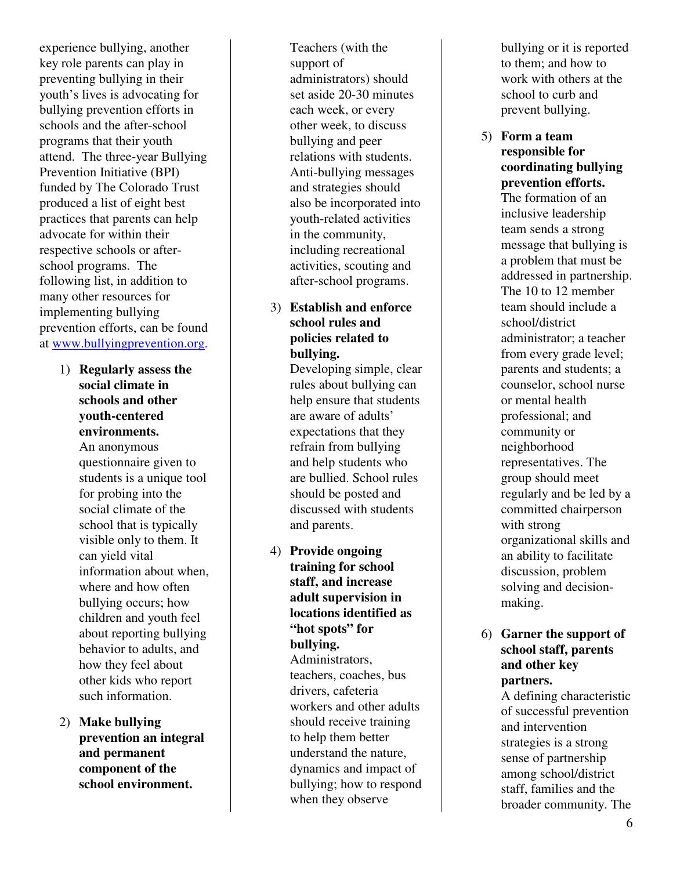experience bullying, another key role parents can play in preventing bullying in their youth's lives is advocating for bullying prevention efforts in schools and the after-school programs that their youth attend. The three-year Bullying Prevention Initiative (BPI) funded by The Colorado Trust produced a list of eight best practices that parents can help advocate for within their respective schools or afterschool programs. The following list, in addition to many other resources for implementing bullying prevention efforts, can be found at www.bullyingprevention.org.

- 1) **Regularly assess the social climate in schools and other youth-centered environments.**  An anonymous questionnaire given to students is a unique tool for probing into the social climate of the school that is typically visible only to them. It can yield vital information about when, where and how often bullying occurs; how children and youth feel about reporting bullying behavior to adults, and how they feel about other kids who report such information.
- 2) **Make bullying prevention an integral and permanent component of the school environment.**

Teachers (with the support of administrators) should set aside 20-30 minutes each week, or every other week, to discuss bullying and peer relations with students. Anti-bullying messages and strategies should also be incorporated into youth-related activities in the community, including recreational activities, scouting and after-school programs.

# 3) **Establish and enforce school rules and policies related to bullying.**

Developing simple, clear rules about bullying can help ensure that students are aware of adults' expectations that they refrain from bullying and help students who are bullied. School rules should be posted and discussed with students and parents.

4) **Provide ongoing training for school staff, and increase adult supervision in locations identified as "hot spots" for bullying.**  Administrators, teachers, coaches, bus drivers, cafeteria workers and other adults should receive training to help them better understand the nature, dynamics and impact of bullying; how to respond when they observe

bullying or it is reported to them; and how to work with others at the school to curb and prevent bullying.

5) **Form a team responsible for coordinating bullying prevention efforts.**  The formation of an inclusive leadership team sends a strong message that bullying is a problem that must be addressed in partnership. The 10 to 12 member team should include a school/district administrator; a teacher from every grade level; parents and students; a counselor, school nurse or mental health professional; and community or neighborhood representatives. The group should meet regularly and be led by a committed chairperson with strong organizational skills and an ability to facilitate discussion, problem solving and decisionmaking.

#### 6) **Garner the support of school staff, parents and other key partners.**

A defining characteristic of successful prevention and intervention strategies is a strong sense of partnership among school/district staff, families and the broader community. The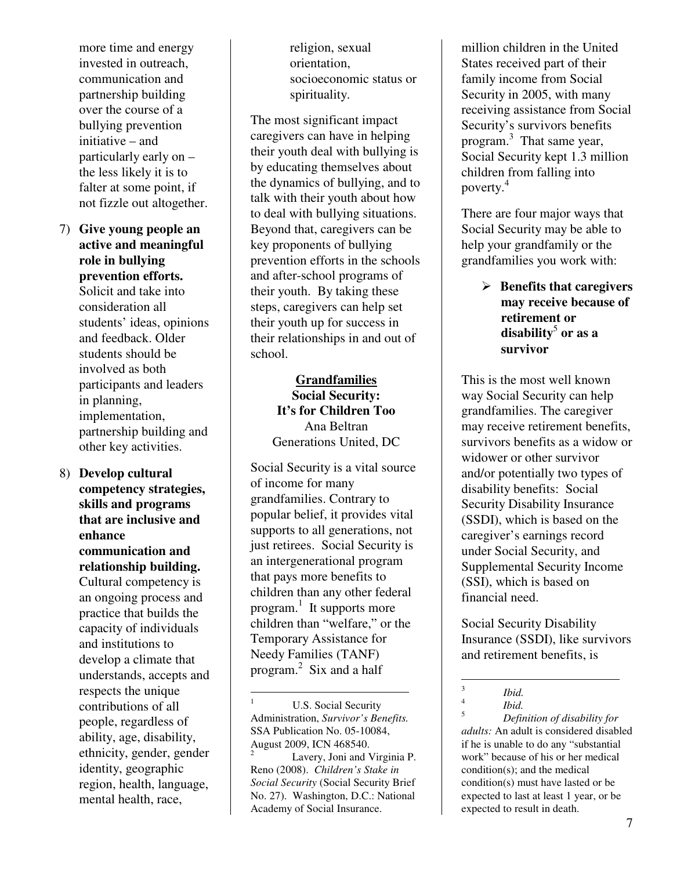more time and energy invested in outreach, communication and partnership building over the course of a bullying prevention initiative – and particularly early on – the less likely it is to falter at some point, if not fizzle out altogether.

- 7) **Give young people an active and meaningful role in bullying prevention efforts.**  Solicit and take into consideration all students' ideas, opinions and feedback. Older students should be involved as both participants and leaders in planning, implementation, partnership building and other key activities.
- 8) **Develop cultural competency strategies, skills and programs that are inclusive and enhance communication and relationship building.**  Cultural competency is an ongoing process and practice that builds the capacity of individuals and institutions to develop a climate that understands, accepts and respects the unique contributions of all people, regardless of ability, age, disability, ethnicity, gender, gender identity, geographic region, health, language, mental health, race,

religion, sexual orientation, socioeconomic status or spirituality.

The most significant impact caregivers can have in helping their youth deal with bullying is by educating themselves about the dynamics of bullying, and to talk with their youth about how to deal with bullying situations. Beyond that, caregivers can be key proponents of bullying prevention efforts in the schools and after-school programs of their youth. By taking these steps, caregivers can help set their youth up for success in their relationships in and out of school.

# **Grandfamilies Social Security: It's for Children Too**  Ana Beltran Generations United, DC

Social Security is a vital source of income for many grandfamilies. Contrary to popular belief, it provides vital supports to all generations, not just retirees. Social Security is an intergenerational program that pays more benefits to children than any other federal program. 1 It supports more children than "welfare," or the Temporary Assistance for Needy Families (TANF) program. 2 Six and a half

 Lavery, Joni and Virginia P. Reno (2008). *Children's Stake in Social Security* (Social Security Brief No. 27). Washington, D.C.: National Academy of Social Insurance.

million children in the United States received part of their family income from Social Security in 2005, with many receiving assistance from Social Security's survivors benefits program.<sup>3</sup> That same year, Social Security kept 1.3 million children from falling into poverty.<sup>4</sup>

There are four major ways that Social Security may be able to help your grandfamily or the grandfamilies you work with:

# - **Benefits that caregivers may receive because of retirement or disability**<sup>5</sup>  **or as a survivor**

This is the most well known way Social Security can help grandfamilies. The caregiver may receive retirement benefits, survivors benefits as a widow or widower or other survivor and/or potentially two types of disability benefits: Social Security Disability Insurance (SSDI), which is based on the caregiver's earnings record under Social Security, and Supplemental Security Income (SSI), which is based on financial need.

Social Security Disability Insurance (SSDI), like survivors and retirement benefits, is

*Ibid.* 

 $\frac{1}{3}$ 

5 *Definition of disability for adults:* An adult is considered disabled if he is unable to do any "substantial work" because of his or her medical condition(s); and the medical condition(s) must have lasted or be expected to last at least 1 year, or be expected to result in death.

<sup>&</sup>lt;u>.</u> U.S. Social Security Administration, *Survivor's Benefits.*  SSA Publication No. 05-10084, August 2009, ICN 468540. 2

<sup>4</sup> *Ibid.*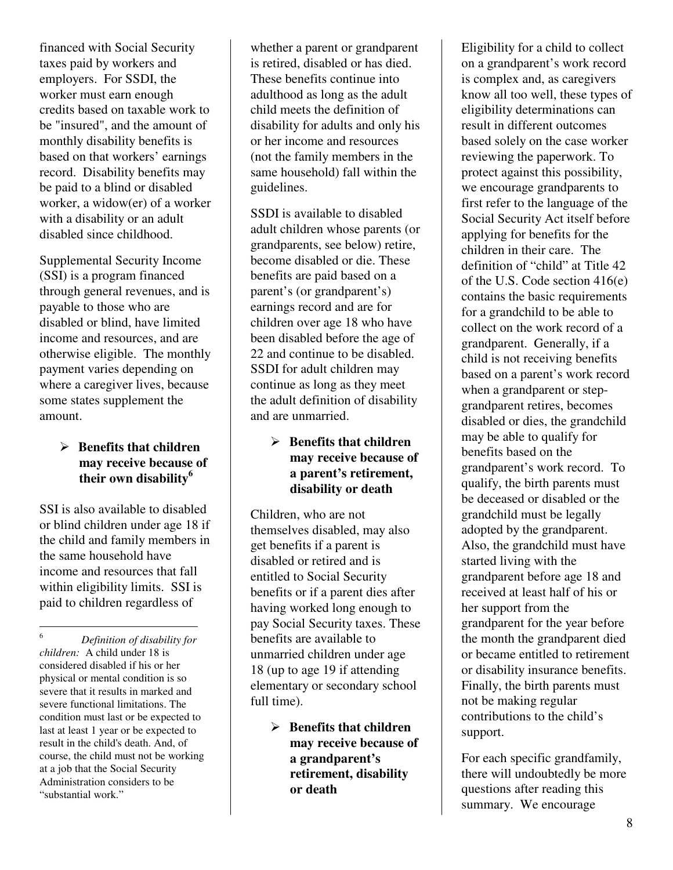financed with Social Security taxes paid by workers and employers. For SSDI, the worker must earn enough credits based on taxable work to be "insured", and the amount of monthly disability benefits is based on that workers' earnings record. Disability benefits may be paid to a blind or disabled worker, a widow(er) of a worker with a disability or an adult disabled since childhood.

Supplemental Security Income (SSI) is a program financed through general revenues, and is payable to those who are disabled or blind, have limited income and resources, and are otherwise eligible. The monthly payment varies depending on where a caregiver lives, because some states supplement the amount.

# - **Benefits that children may receive because of their own disability<sup>6</sup>**

SSI is also available to disabled or blind children under age 18 if the child and family members in the same household have income and resources that fall within eligibility limits. SSI is paid to children regardless of

 6 *Definition of disability for children:* A child under 18 is considered disabled if his or her physical or mental condition is so severe that it results in marked and severe functional limitations. The condition must last or be expected to last at least 1 year or be expected to result in the child's death. And, of course, the child must not be working at a job that the Social Security Administration considers to be "substantial work."

whether a parent or grandparent is retired, disabled or has died. These benefits continue into adulthood as long as the adult child meets the definition of disability for adults and only his or her income and resources (not the family members in the same household) fall within the guidelines.

SSDI is available to disabled adult children whose parents (or grandparents, see below) retire, become disabled or die. These benefits are paid based on a parent's (or grandparent's) earnings record and are for children over age 18 who have been disabled before the age of 22 and continue to be disabled. SSDI for adult children may continue as long as they meet the adult definition of disability and are unmarried.

# - **Benefits that children may receive because of a parent's retirement, disability or death**

Children, who are not themselves disabled, may also get benefits if a parent is disabled or retired and is entitled to Social Security benefits or if a parent dies after having worked long enough to pay Social Security taxes. These benefits are available to unmarried children under age 18 (up to age 19 if attending elementary or secondary school full time).

> - **Benefits that children may receive because of a grandparent's retirement, disability or death**

Eligibility for a child to collect on a grandparent's work record is complex and, as caregivers know all too well, these types of eligibility determinations can result in different outcomes based solely on the case worker reviewing the paperwork. To protect against this possibility, we encourage grandparents to first refer to the language of the Social Security Act itself before applying for benefits for the children in their care. The definition of "child" at Title 42 of the U.S. Code section 416(e) contains the basic requirements for a grandchild to be able to collect on the work record of a grandparent. Generally, if a child is not receiving benefits based on a parent's work record when a grandparent or stepgrandparent retires, becomes disabled or dies, the grandchild may be able to qualify for benefits based on the grandparent's work record. To qualify, the birth parents must be deceased or disabled or the grandchild must be legally adopted by the grandparent. Also, the grandchild must have started living with the grandparent before age 18 and received at least half of his or her support from the grandparent for the year before the month the grandparent died or became entitled to retirement or disability insurance benefits. Finally, the birth parents must not be making regular contributions to the child's support.

For each specific grandfamily, there will undoubtedly be more questions after reading this summary. We encourage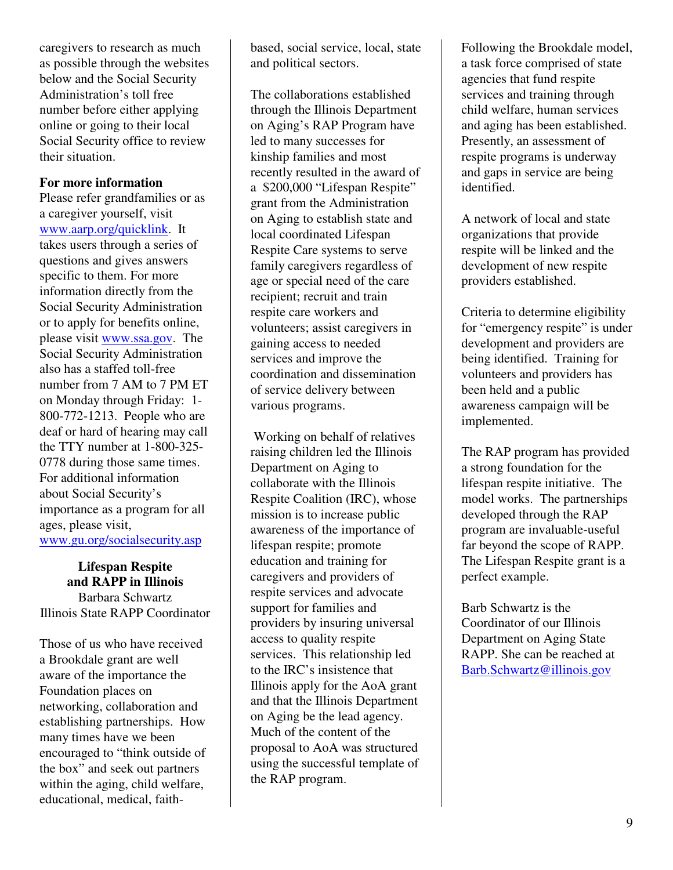caregivers to research as much as possible through the websites below and the Social Security Administration's toll free number before either applying online or going to their local Social Security office to review their situation.

#### **For more information**

Please refer grandfamilies or as a caregiver yourself, visit www.aarp.org/quicklink. It takes users through a series of questions and gives answers specific to them. For more information directly from the Social Security Administration or to apply for benefits online, please visit www.ssa.gov. The Social Security Administration also has a staffed toll-free number from 7 AM to 7 PM ET on Monday through Friday: 1- 800-772-1213. People who are deaf or hard of hearing may call the TTY number at 1-800-325- 0778 during those same times. For additional information about Social Security's importance as a program for all ages, please visit, www.gu.org/socialsecurity.asp

**Lifespan Respite and RAPP in Illinois**  Barbara Schwartz Illinois State RAPP Coordinator

Those of us who have received a Brookdale grant are well aware of the importance the Foundation places on networking, collaboration and establishing partnerships. How many times have we been encouraged to "think outside of the box" and seek out partners within the aging, child welfare, educational, medical, faithbased, social service, local, state and political sectors.

The collaborations established through the Illinois Department on Aging's RAP Program have led to many successes for kinship families and most recently resulted in the award of a \$200,000 "Lifespan Respite" grant from the Administration on Aging to establish state and local coordinated Lifespan Respite Care systems to serve family caregivers regardless of age or special need of the care recipient; recruit and train respite care workers and volunteers; assist caregivers in gaining access to needed services and improve the coordination and dissemination of service delivery between various programs.

 Working on behalf of relatives raising children led the Illinois Department on Aging to collaborate with the Illinois Respite Coalition (IRC), whose mission is to increase public awareness of the importance of lifespan respite; promote education and training for caregivers and providers of respite services and advocate support for families and providers by insuring universal access to quality respite services. This relationship led to the IRC's insistence that Illinois apply for the AoA grant and that the Illinois Department on Aging be the lead agency. Much of the content of the proposal to AoA was structured using the successful template of the RAP program.

Following the Brookdale model, a task force comprised of state agencies that fund respite services and training through child welfare, human services and aging has been established. Presently, an assessment of respite programs is underway and gaps in service are being identified.

A network of local and state organizations that provide respite will be linked and the development of new respite providers established.

Criteria to determine eligibility for "emergency respite" is under development and providers are being identified. Training for volunteers and providers has been held and a public awareness campaign will be implemented.

The RAP program has provided a strong foundation for the lifespan respite initiative. The model works. The partnerships developed through the RAP program are invaluable-useful far beyond the scope of RAPP. The Lifespan Respite grant is a perfect example.

Barb Schwartz is the Coordinator of our Illinois Department on Aging State RAPP. She can be reached at Barb.Schwartz@illinois.gov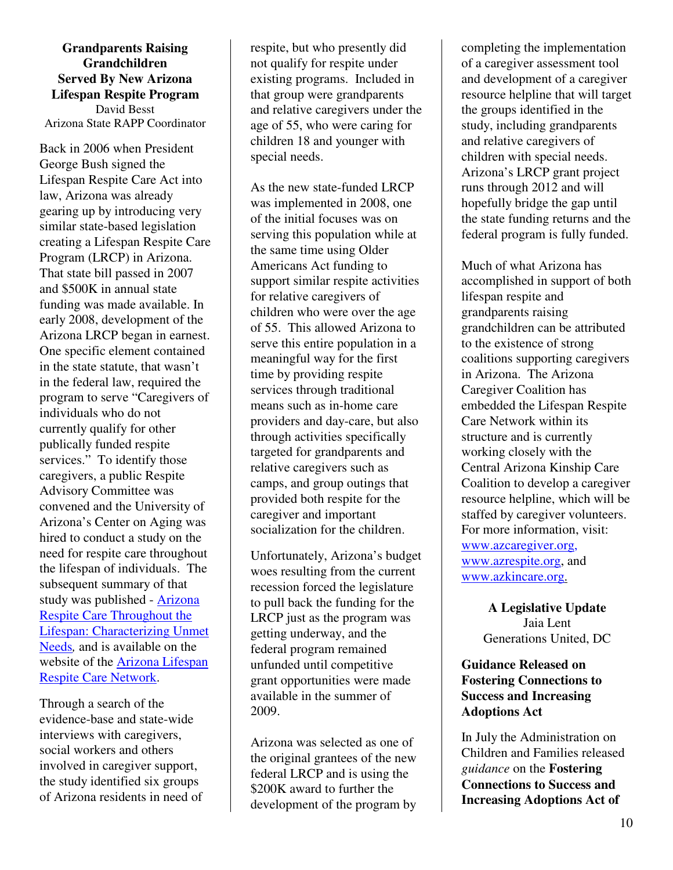**Grandparents Raising Grandchildren Served By New Arizona Lifespan Respite Program**  David Besst Arizona State RAPP Coordinator

Back in 2006 when President George Bush signed the Lifespan Respite Care Act into law, Arizona was already gearing up by introducing very similar state-based legislation creating a Lifespan Respite Care Program (LRCP) in Arizona. That state bill passed in 2007 and \$500K in annual state funding was made available. In early 2008, development of the Arizona LRCP began in earnest. One specific element contained in the state statute, that wasn't in the federal law, required the program to serve "Caregivers of individuals who do not currently qualify for other publically funded respite services." To identify those caregivers, a public Respite Advisory Committee was convened and the University of Arizona's Center on Aging was hired to conduct a study on the need for respite care throughout the lifespan of individuals. The subsequent summary of that study was published - Arizona Respite Care Throughout the Lifespan: Characterizing Unmet Needs*,* and is available on the website of the Arizona Lifespan Respite Care Network.

Through a search of the evidence-base and state-wide interviews with caregivers, social workers and others involved in caregiver support, the study identified six groups of Arizona residents in need of respite, but who presently did not qualify for respite under existing programs. Included in that group were grandparents and relative caregivers under the age of 55, who were caring for children 18 and younger with special needs.

As the new state-funded LRCP was implemented in 2008, one of the initial focuses was on serving this population while at the same time using Older Americans Act funding to support similar respite activities for relative caregivers of children who were over the age of 55. This allowed Arizona to serve this entire population in a meaningful way for the first time by providing respite services through traditional means such as in-home care providers and day-care, but also through activities specifically targeted for grandparents and relative caregivers such as camps, and group outings that provided both respite for the caregiver and important socialization for the children.

Unfortunately, Arizona's budget woes resulting from the current recession forced the legislature to pull back the funding for the LRCP just as the program was getting underway, and the federal program remained unfunded until competitive grant opportunities were made available in the summer of 2009.

Arizona was selected as one of the original grantees of the new federal LRCP and is using the \$200K award to further the development of the program by

completing the implementation of a caregiver assessment tool and development of a caregiver resource helpline that will target the groups identified in the study, including grandparents and relative caregivers of children with special needs. Arizona's LRCP grant project runs through 2012 and will hopefully bridge the gap until the state funding returns and the federal program is fully funded.

Much of what Arizona has accomplished in support of both lifespan respite and grandparents raising grandchildren can be attributed to the existence of strong coalitions supporting caregivers in Arizona. The Arizona Caregiver Coalition has embedded the Lifespan Respite Care Network within its structure and is currently working closely with the Central Arizona Kinship Care Coalition to develop a caregiver resource helpline, which will be staffed by caregiver volunteers. For more information, visit: www.azcaregiver.org, www.azrespite.org, and www.azkincare.org.

> **A Legislative Update**  Jaia Lent Generations United, DC

**Guidance Released on Fostering Connections to Success and Increasing Adoptions Act** 

In July the Administration on Children and Families released *guidance* on the **Fostering Connections to Success and Increasing Adoptions Act of**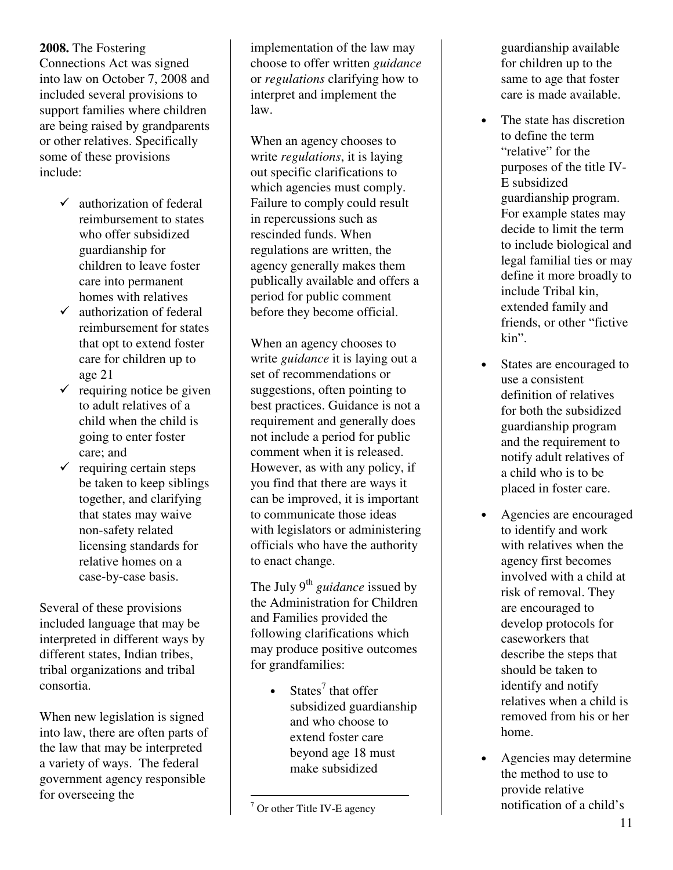**2008.** The Fostering Connections Act was signed into law on October 7, 2008 and included several provisions to support families where children are being raised by grandparents or other relatives. Specifically some of these provisions include:

- $\checkmark$  authorization of federal reimbursement to states who offer subsidized guardianship for children to leave foster care into permanent homes with relatives
- $\checkmark$  authorization of federal reimbursement for states that opt to extend foster care for children up to age 21
- $\checkmark$  requiring notice be given to adult relatives of a child when the child is going to enter foster care; and
- $\checkmark$  requiring certain steps be taken to keep siblings together, and clarifying that states may waive non-safety related licensing standards for relative homes on a case-by-case basis.

Several of these provisions included language that may be interpreted in different ways by different states, Indian tribes, tribal organizations and tribal consortia.

When new legislation is signed into law, there are often parts of the law that may be interpreted a variety of ways. The federal government agency responsible for overseeing the

implementation of the law may choose to offer written *guidance* or *regulations* clarifying how to interpret and implement the law.

When an agency chooses to write *regulations*, it is laying out specific clarifications to which agencies must comply. Failure to comply could result in repercussions such as rescinded funds. When regulations are written, the agency generally makes them publically available and offers a period for public comment before they become official.

When an agency chooses to write *guidance* it is laying out a set of recommendations or suggestions, often pointing to best practices. Guidance is not a requirement and generally does not include a period for public comment when it is released. However, as with any policy, if you find that there are ways it can be improved, it is important to communicate those ideas with legislators or administering officials who have the authority to enact change.

The July 9<sup>th</sup> guidance issued by the Administration for Children and Families provided the following clarifications which may produce positive outcomes for grandfamilies:

> • States<sup>7</sup> that offer subsidized guardianship and who choose to extend foster care beyond age 18 must make subsidized

guardianship available for children up to the same to age that foster care is made available.

- The state has discretion to define the term "relative" for the purposes of the title IV-E subsidized guardianship program. For example states may decide to limit the term to include biological and legal familial ties or may define it more broadly to include Tribal kin, extended family and friends, or other "fictive kin".
- States are encouraged to use a consistent definition of relatives for both the subsidized guardianship program and the requirement to notify adult relatives of a child who is to be placed in foster care.
- Agencies are encouraged to identify and work with relatives when the agency first becomes involved with a child at risk of removal. They are encouraged to develop protocols for caseworkers that describe the steps that should be taken to identify and notify relatives when a child is removed from his or her home.
- Agencies may determine the method to use to provide relative notification of a child's

 $\overline{7}$  Or other Title IV-E agency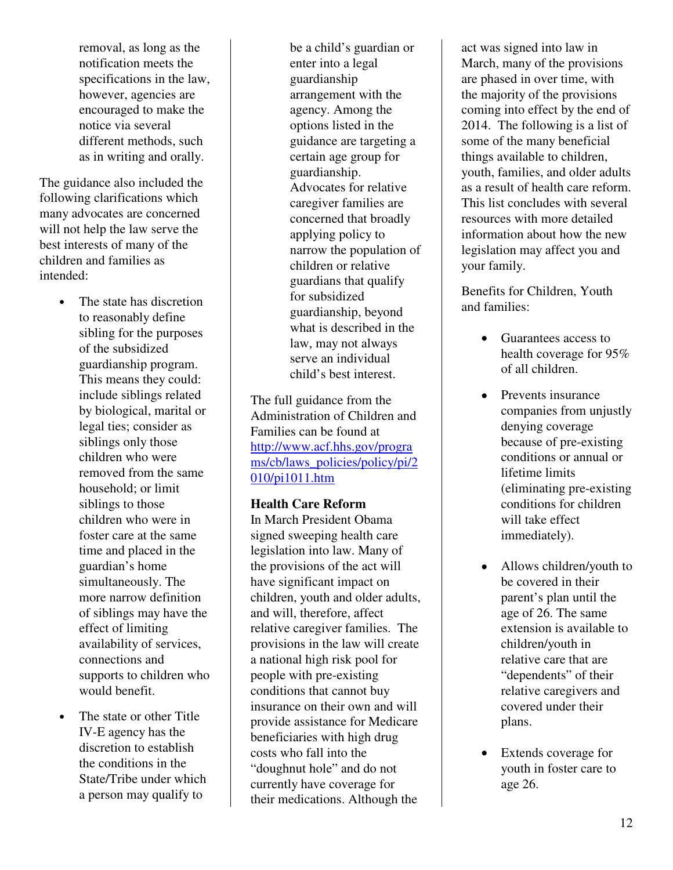removal, as long as the notification meets the specifications in the law, however, agencies are encouraged to make the notice via several different methods, such as in writing and orally.

The guidance also included the following clarifications which many advocates are concerned will not help the law serve the best interests of many of the children and families as intended:

- The state has discretion to reasonably define sibling for the purposes of the subsidized guardianship program. This means they could: include siblings related by biological, marital or legal ties; consider as siblings only those children who were removed from the same household; or limit siblings to those children who were in foster care at the same time and placed in the guardian's home simultaneously. The more narrow definition of siblings may have the effect of limiting availability of services, connections and supports to children who would benefit.
- The state or other Title IV-E agency has the discretion to establish the conditions in the State/Tribe under which a person may qualify to

be a child's guardian or enter into a legal guardianship arrangement with the agency. Among the options listed in the guidance are targeting a certain age group for guardianship. Advocates for relative caregiver families are concerned that broadly applying policy to narrow the population of children or relative guardians that qualify for subsidized guardianship, beyond what is described in the law, may not always serve an individual child's best interest.

The full guidance from the Administration of Children and Families can be found at http://www.acf.hhs.gov/progra ms/cb/laws\_policies/policy/pi/2 010/pi1011.htm

# **Health Care Reform**

In March President Obama signed sweeping health care legislation into law. Many of the provisions of the act will have significant impact on children, youth and older adults, and will, therefore, affect relative caregiver families. The provisions in the law will create a national high risk pool for people with pre-existing conditions that cannot buy insurance on their own and will provide assistance for Medicare beneficiaries with high drug costs who fall into the "doughnut hole" and do not currently have coverage for their medications. Although the

act was signed into law in March, many of the provisions are phased in over time, with the majority of the provisions coming into effect by the end of 2014. The following is a list of some of the many beneficial things available to children, youth, families, and older adults as a result of health care reform. This list concludes with several resources with more detailed information about how the new legislation may affect you and your family.

Benefits for Children, Youth and families:

- Guarantees access to health coverage for 95% of all children.
- Prevents insurance companies from unjustly denying coverage because of pre-existing conditions or annual or lifetime limits (eliminating pre-existing conditions for children will take effect immediately).
- Allows children/youth to be covered in their parent's plan until the age of 26. The same extension is available to children/youth in relative care that are "dependents" of their relative caregivers and covered under their plans.
- Extends coverage for youth in foster care to age 26.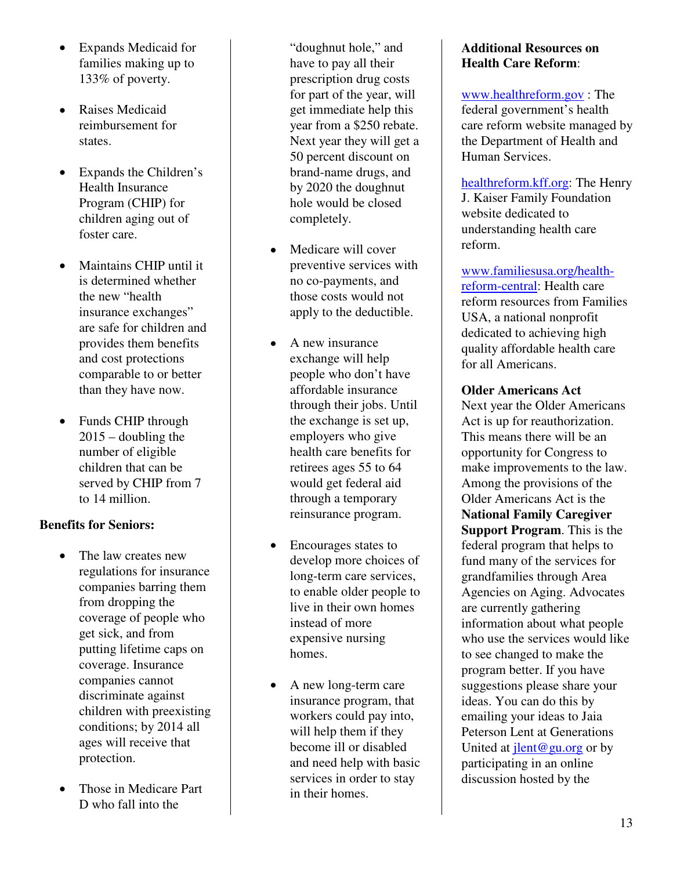- Expands Medicaid for families making up to 133% of poverty.
- Raises Medicaid reimbursement for states.
- Expands the Children's Health Insurance Program (CHIP) for children aging out of foster care.
- Maintains CHIP until it is determined whether the new "health insurance exchanges" are safe for children and provides them benefits and cost protections comparable to or better than they have now.
- Funds CHIP through  $2015$  – doubling the number of eligible children that can be served by CHIP from 7 to 14 million.

# **Benefits for Seniors:**

- The law creates new regulations for insurance companies barring them from dropping the coverage of people who get sick, and from putting lifetime caps on coverage. Insurance companies cannot discriminate against children with preexisting conditions; by 2014 all ages will receive that protection.
- Those in Medicare Part D who fall into the

"doughnut hole," and have to pay all their prescription drug costs for part of the year, will get immediate help this year from a \$250 rebate. Next year they will get a 50 percent discount on brand-name drugs, and by 2020 the doughnut hole would be closed completely.

- Medicare will cover preventive services with no co-payments, and those costs would not apply to the deductible.
- A new insurance exchange will help people who don't have affordable insurance through their jobs. Until the exchange is set up, employers who give health care benefits for retirees ages 55 to 64 would get federal aid through a temporary reinsurance program.
- Encourages states to develop more choices of long-term care services, to enable older people to live in their own homes instead of more expensive nursing homes.
- A new long-term care insurance program, that workers could pay into, will help them if they become ill or disabled and need help with basic services in order to stay in their homes.

# **Additional Resources on Health Care Reform**:

www.healthreform.gov : The federal government's health care reform website managed by the Department of Health and Human Services.

healthreform.kff.org: The Henry J. Kaiser Family Foundation website dedicated to understanding health care reform.

www.familiesusa.org/healthreform-central: Health care reform resources from Families USA, a national nonprofit dedicated to achieving high quality affordable health care for all Americans.

# **Older Americans Act**

Next year the Older Americans Act is up for reauthorization. This means there will be an opportunity for Congress to make improvements to the law. Among the provisions of the Older Americans Act is the **National Family Caregiver Support Program**. This is the federal program that helps to fund many of the services for grandfamilies through Area Agencies on Aging. Advocates are currently gathering information about what people who use the services would like to see changed to make the program better. If you have suggestions please share your ideas. You can do this by emailing your ideas to Jaia Peterson Lent at Generations United at  $\text{jlent}@\text{gu.org}$  or by participating in an online discussion hosted by the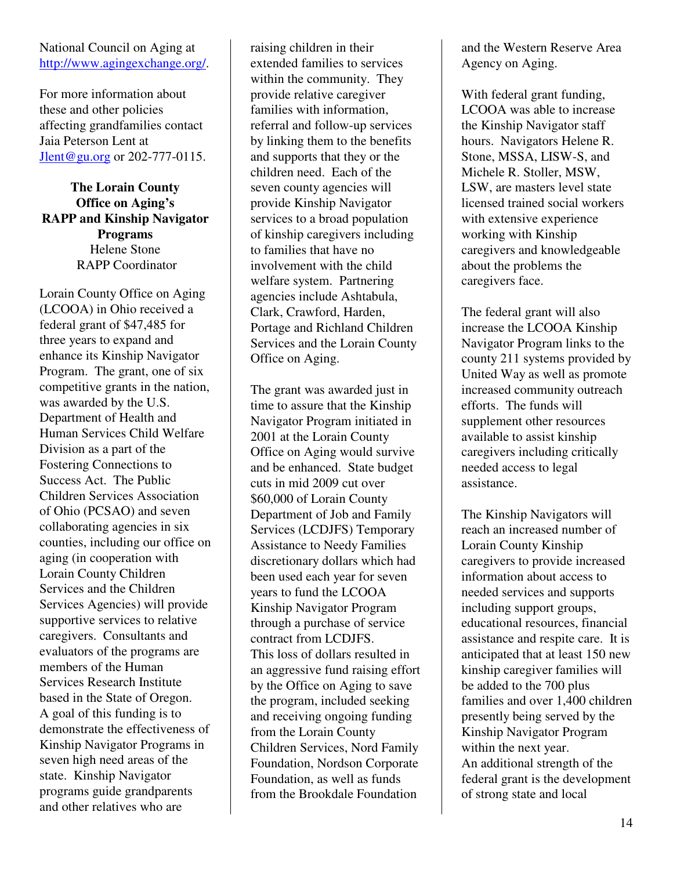## National Council on Aging at http://www.agingexchange.org/.

For more information about these and other policies affecting grandfamilies contact Jaia Peterson Lent at Jlent@gu.org or 202-777-0115.

# **The Lorain County Office on Aging's RAPP and Kinship Navigator Programs**  Helene Stone RAPP Coordinator

Lorain County Office on Aging (LCOOA) in Ohio received a federal grant of \$47,485 for three years to expand and enhance its Kinship Navigator Program. The grant, one of six competitive grants in the nation, was awarded by the U.S. Department of Health and Human Services Child Welfare Division as a part of the Fostering Connections to Success Act. The Public Children Services Association of Ohio (PCSAO) and seven collaborating agencies in six counties, including our office on aging (in cooperation with Lorain County Children Services and the Children Services Agencies) will provide supportive services to relative caregivers. Consultants and evaluators of the programs are members of the Human Services Research Institute based in the State of Oregon. A goal of this funding is to demonstrate the effectiveness of Kinship Navigator Programs in seven high need areas of the state. Kinship Navigator programs guide grandparents and other relatives who are

raising children in their extended families to services within the community. They provide relative caregiver families with information, referral and follow-up services by linking them to the benefits and supports that they or the children need. Each of the seven county agencies will provide Kinship Navigator services to a broad population of kinship caregivers including to families that have no involvement with the child welfare system. Partnering agencies include Ashtabula, Clark, Crawford, Harden, Portage and Richland Children Services and the Lorain County Office on Aging.

The grant was awarded just in time to assure that the Kinship Navigator Program initiated in 2001 at the Lorain County Office on Aging would survive and be enhanced. State budget cuts in mid 2009 cut over \$60,000 of Lorain County Department of Job and Family Services (LCDJFS) Temporary Assistance to Needy Families discretionary dollars which had been used each year for seven years to fund the LCOOA Kinship Navigator Program through a purchase of service contract from LCDJFS. This loss of dollars resulted in an aggressive fund raising effort by the Office on Aging to save the program, included seeking and receiving ongoing funding from the Lorain County Children Services, Nord Family Foundation, Nordson Corporate Foundation, as well as funds from the Brookdale Foundation

and the Western Reserve Area Agency on Aging.

With federal grant funding, LCOOA was able to increase the Kinship Navigator staff hours. Navigators Helene R. Stone, MSSA, LISW-S, and Michele R. Stoller, MSW, LSW, are masters level state licensed trained social workers with extensive experience working with Kinship caregivers and knowledgeable about the problems the caregivers face.

The federal grant will also increase the LCOOA Kinship Navigator Program links to the county 211 systems provided by United Way as well as promote increased community outreach efforts. The funds will supplement other resources available to assist kinship caregivers including critically needed access to legal assistance.

The Kinship Navigators will reach an increased number of Lorain County Kinship caregivers to provide increased information about access to needed services and supports including support groups, educational resources, financial assistance and respite care. It is anticipated that at least 150 new kinship caregiver families will be added to the 700 plus families and over 1,400 children presently being served by the Kinship Navigator Program within the next year. An additional strength of the federal grant is the development of strong state and local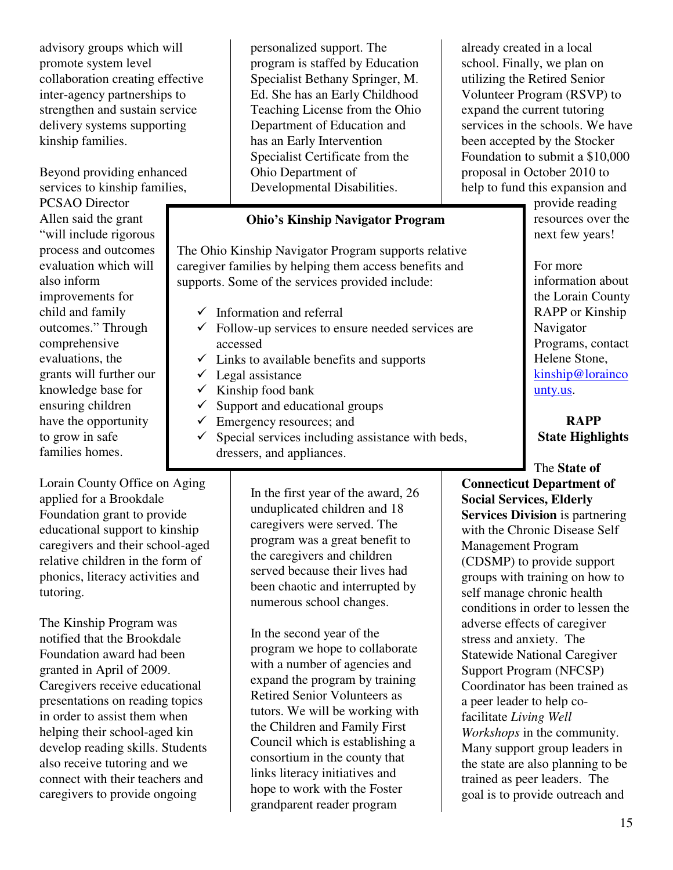advisory groups which will promote system level collaboration creating effective inter-agency partnerships to strengthen and sustain service delivery systems supporting kinship families.

Beyond providing enhanced services to kinship families,

PCSAO Director Allen said the grant "will include rigorous process and outcomes evaluation which will also inform improvements for child and family outcomes." Through comprehensive evaluations, the grants will further our knowledge base for ensuring children have the opportunity to grow in safe families homes.

personalized support. The program is staffed by Education Specialist Bethany Springer, M. Ed. She has an Early Childhood Teaching License from the Ohio Department of Education and has an Early Intervention Specialist Certificate from the Ohio Department of Developmental Disabilities.

# **Ohio's Kinship Navigator Program**

The Ohio Kinship Navigator Program supports relative caregiver families by helping them access benefits and supports. Some of the services provided include:

- $\checkmark$  Information and referral
- $\checkmark$  Follow-up services to ensure needed services are accessed
- $\checkmark$  Links to available benefits and supports
- $\checkmark$  Legal assistance
- $\checkmark$  Kinship food bank
- $\checkmark$  Support and educational groups
- $\checkmark$  Emergency resources; and
- $\checkmark$  Special services including assistance with beds, dressers, and appliances.

Lorain County Office on Aging applied for a Brookdale Foundation grant to provide educational support to kinship caregivers and their school-aged relative children in the form of phonics, literacy activities and tutoring.

The Kinship Program was notified that the Brookdale Foundation award had been granted in April of 2009. Caregivers receive educational presentations on reading topics in order to assist them when helping their school-aged kin develop reading skills. Students also receive tutoring and we connect with their teachers and caregivers to provide ongoing

In the first year of the award, 26 unduplicated children and 18 caregivers were served. The program was a great benefit to the caregivers and children served because their lives had been chaotic and interrupted by numerous school changes.

In the second year of the program we hope to collaborate with a number of agencies and expand the program by training Retired Senior Volunteers as tutors. We will be working with the Children and Family First Council which is establishing a consortium in the county that links literacy initiatives and hope to work with the Foster grandparent reader program

already created in a local school. Finally, we plan on utilizing the Retired Senior Volunteer Program (RSVP) to expand the current tutoring services in the schools. We have been accepted by the Stocker Foundation to submit a \$10,000 proposal in October 2010 to help to fund this expansion and

provide reading resources over the next few years!

For more information about the Lorain County RAPP or Kinship Navigator Programs, contact Helene Stone, kinship@lorainco unty.us.

**RAPP State Highlights** 

The **State of Connecticut Department of Social Services, Elderly Services Division** is partnering with the Chronic Disease Self Management Program (CDSMP) to provide support groups with training on how to self manage chronic health conditions in order to lessen the adverse effects of caregiver stress and anxiety. The Statewide National Caregiver Support Program (NFCSP) Coordinator has been trained as a peer leader to help cofacilitate *Living Well Workshops* in the community. Many support group leaders in the state are also planning to be trained as peer leaders. The goal is to provide outreach and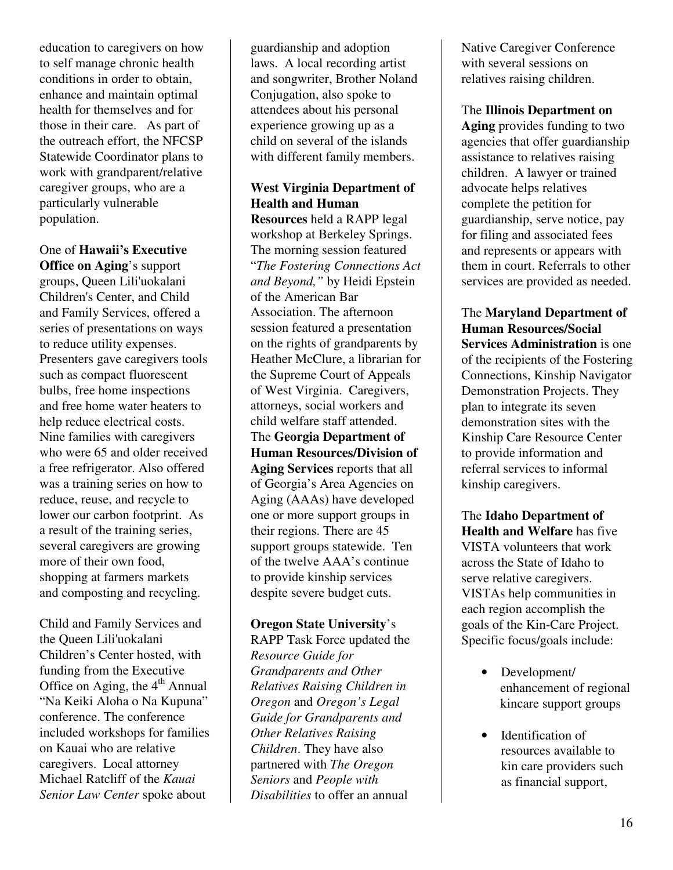education to caregivers on how to self manage chronic health conditions in order to obtain, enhance and maintain optimal health for themselves and for those in their care. As part of the outreach effort, the NFCSP Statewide Coordinator plans to work with grandparent/relative caregiver groups, who are a particularly vulnerable population.

# One of **Hawaii's Executive**

**Office on Aging**'s support groups, Queen Lili'uokalani Children's Center, and Child and Family Services, offered a series of presentations on ways to reduce utility expenses. Presenters gave caregivers tools such as compact fluorescent bulbs, free home inspections and free home water heaters to help reduce electrical costs. Nine families with caregivers who were 65 and older received a free refrigerator. Also offered was a training series on how to reduce, reuse, and recycle to lower our carbon footprint. As a result of the training series, several caregivers are growing more of their own food, shopping at farmers markets and composting and recycling.

Child and Family Services and the Queen Lili'uokalani Children's Center hosted, with funding from the Executive Office on Aging, the  $4<sup>th</sup>$  Annual "Na Keiki Aloha o Na Kupuna" conference. The conference included workshops for families on Kauai who are relative caregivers. Local attorney Michael Ratcliff of the *Kauai Senior Law Center* spoke about

guardianship and adoption laws. A local recording artist and songwriter, Brother Noland Conjugation, also spoke to attendees about his personal experience growing up as a child on several of the islands with different family members.

# **West Virginia Department of Health and Human**

**Resources** held a RAPP legal workshop at Berkeley Springs. The morning session featured "*The Fostering Connections Act and Beyond,"* by Heidi Epstein of the American Bar Association. The afternoon session featured a presentation on the rights of grandparents by Heather McClure, a librarian for the Supreme Court of Appeals of West Virginia. Caregivers, attorneys, social workers and child welfare staff attended. The **Georgia Department of Human Resources/Division of Aging Services** reports that all of Georgia's Area Agencies on Aging (AAAs) have developed

one or more support groups in their regions. There are 45 support groups statewide. Ten of the twelve AAA's continue to provide kinship services despite severe budget cuts.

# **Oregon State University**'s

RAPP Task Force updated the *Resource Guide for Grandparents and Other Relatives Raising Children in Oregon* and *Oregon's Legal Guide for Grandparents and Other Relatives Raising Children*. They have also partnered with *The Oregon Seniors* and *People with Disabilities* to offer an annual

Native Caregiver Conference with several sessions on relatives raising children.

The **Illinois Department on Aging** provides funding to two agencies that offer guardianship assistance to relatives raising children. A lawyer or trained advocate helps relatives complete the petition for guardianship, serve notice, pay for filing and associated fees and represents or appears with them in court. Referrals to other services are provided as needed.

The **Maryland Department of Human Resources/Social Services Administration** is one of the recipients of the Fostering Connections, Kinship Navigator Demonstration Projects. They plan to integrate its seven demonstration sites with the Kinship Care Resource Center to provide information and referral services to informal kinship caregivers.

The **Idaho Department of Health and Welfare** has five VISTA volunteers that work across the State of Idaho to serve relative caregivers. VISTAs help communities in each region accomplish the goals of the Kin-Care Project. Specific focus/goals include:

- Development/ enhancement of regional kincare support groups
- Identification of resources available to kin care providers such as financial support,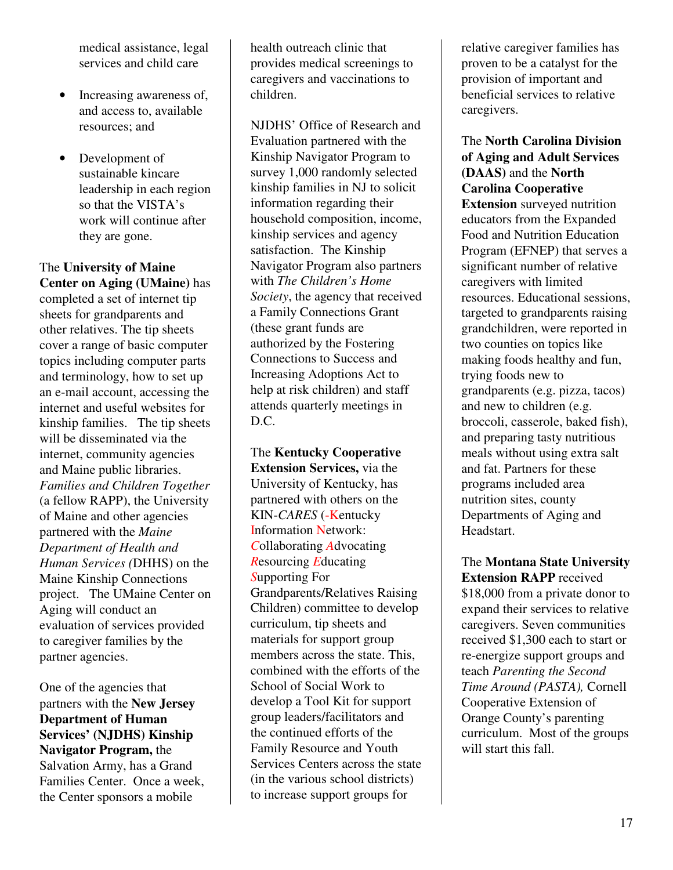medical assistance, legal services and child care

- Increasing awareness of, and access to, available resources; and
- Development of sustainable kincare leadership in each region so that the VISTA's work will continue after they are gone.

The **University of Maine Center on Aging (UMaine)** has completed a set of internet tip sheets for grandparents and other relatives. The tip sheets cover a range of basic computer topics including computer parts and terminology, how to set up an e-mail account, accessing the internet and useful websites for kinship families. The tip sheets will be disseminated via the internet, community agencies and Maine public libraries. *Families and Children Together*  (a fellow RAPP), the University of Maine and other agencies partnered with the *Maine Department of Health and Human Services (*DHHS) on the Maine Kinship Connections project. The UMaine Center on Aging will conduct an evaluation of services provided to caregiver families by the partner agencies.

One of the agencies that partners with the **New Jersey Department of Human Services' (NJDHS) Kinship Navigator Program,** the Salvation Army, has a Grand Families Center. Once a week, the Center sponsors a mobile

health outreach clinic that provides medical screenings to caregivers and vaccinations to children.

NJDHS' Office of Research and Evaluation partnered with the Kinship Navigator Program to survey 1,000 randomly selected kinship families in NJ to solicit information regarding their household composition, income, kinship services and agency satisfaction. The Kinship Navigator Program also partners with *The Children's Home Society*, the agency that received a Family Connections Grant (these grant funds are authorized by the Fostering Connections to Success and Increasing Adoptions Act to help at risk children) and staff attends quarterly meetings in D.C.

The **Kentucky Cooperative Extension Services,** via the University of Kentucky, has partnered with others on the KIN-*CARES* (-Kentucky Information Network: *C*ollaborating *A*dvocating *R*esourcing *E*ducating *S*upporting For Grandparents/Relatives Raising Children) committee to develop curriculum, tip sheets and materials for support group members across the state. This, combined with the efforts of the School of Social Work to develop a Tool Kit for support group leaders/facilitators and the continued efforts of the Family Resource and Youth Services Centers across the state (in the various school districts) to increase support groups for

relative caregiver families has proven to be a catalyst for the provision of important and beneficial services to relative caregivers.

The **North Carolina Division of Aging and Adult Services (DAAS)** and the **North Carolina Cooperative Extension** surveyed nutrition educators from the Expanded Food and Nutrition Education Program (EFNEP) that serves a significant number of relative caregivers with limited resources. Educational sessions, targeted to grandparents raising grandchildren, were reported in two counties on topics like making foods healthy and fun, trying foods new to grandparents (e.g. pizza, tacos) and new to children (e.g. broccoli, casserole, baked fish), and preparing tasty nutritious meals without using extra salt and fat. Partners for these programs included area nutrition sites, county Departments of Aging and Headstart.

The **Montana State University Extension RAPP** received \$18,000 from a private donor to expand their services to relative caregivers. Seven communities received \$1,300 each to start or re-energize support groups and teach *Parenting the Second Time Around (PASTA),* Cornell Cooperative Extension of Orange County's parenting curriculum. Most of the groups will start this fall.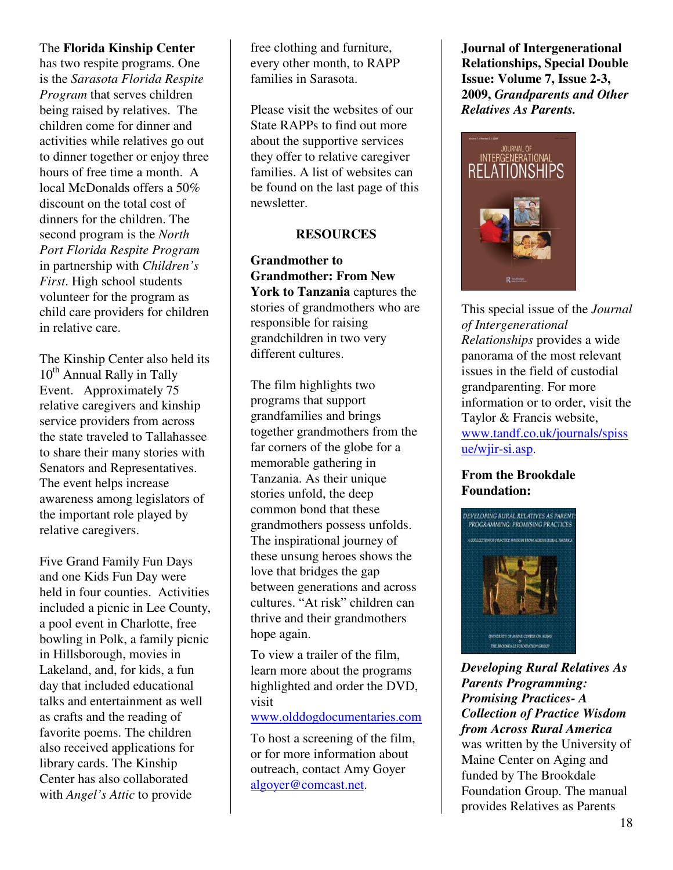# The **Florida Kinship Center**

has two respite programs. One is the *Sarasota Florida Respite Program* that serves children being raised by relatives. The children come for dinner and activities while relatives go out to dinner together or enjoy three hours of free time a month. A local McDonalds offers a 50% discount on the total cost of dinners for the children. The second program is the *North Port Florida Respite Program*  in partnership with *Children's First*. High school students volunteer for the program as child care providers for children in relative care.

The Kinship Center also held its 10<sup>th</sup> Annual Rally in Tally Event. Approximately 75 relative caregivers and kinship service providers from across the state traveled to Tallahassee to share their many stories with Senators and Representatives. The event helps increase awareness among legislators of the important role played by relative caregivers.

Five Grand Family Fun Days and one Kids Fun Day were held in four counties. Activities included a picnic in Lee County, a pool event in Charlotte, free bowling in Polk, a family picnic in Hillsborough, movies in Lakeland, and, for kids, a fun day that included educational talks and entertainment as well as crafts and the reading of favorite poems. The children also received applications for library cards. The Kinship Center has also collaborated with *Angel's Attic* to provide

free clothing and furniture, every other month, to RAPP families in Sarasota.

Please visit the websites of our State RAPPs to find out more about the supportive services they offer to relative caregiver families. A list of websites can be found on the last page of this newsletter.

# **RESOURCES**

**Grandmother to Grandmother: From New York to Tanzania** captures the stories of grandmothers who are responsible for raising grandchildren in two very different cultures.

The film highlights two programs that support grandfamilies and brings together grandmothers from the far corners of the globe for a memorable gathering in Tanzania. As their unique stories unfold, the deep common bond that these grandmothers possess unfolds. The inspirational journey of these unsung heroes shows the love that bridges the gap between generations and across cultures. "At risk" children can thrive and their grandmothers hope again.

To view a trailer of the film, learn more about the programs highlighted and order the DVD, visit

www.olddogdocumentaries.com

To host a screening of the film, or for more information about outreach, contact Amy Goyer algoyer@comcast.net.

**Journal of Intergenerational Relationships, Special Double Issue: Volume 7, Issue 2-3, 2009,** *Grandparents and Other Relatives As Parents.* 



This special issue of the *Journal of Intergenerational Relationships* provides a wide panorama of the most relevant issues in the field of custodial grandparenting. For more information or to order, visit the Taylor & Francis website, www.tandf.co.uk/journals/spiss ue/wjir-si.asp.

# **From the Brookdale Foundation:**



*Developing Rural Relatives As Parents Programming: Promising Practices- A Collection of Practice Wisdom from Across Rural America* was written by the University of Maine Center on Aging and funded by The Brookdale Foundation Group. The manual provides Relatives as Parents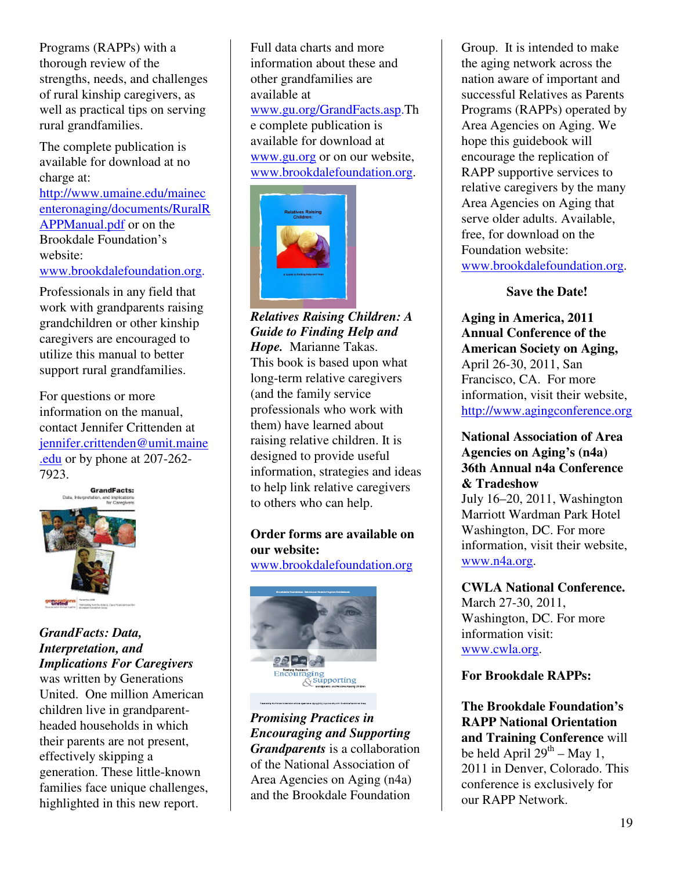Programs (RAPPs) with a thorough review of the strengths, needs, and challenges of rural kinship caregivers, as well as practical tips on serving rural grandfamilies.

The complete publication is available for download at no charge at: http://www.umaine.edu/mainec enteronaging/documents/RuralR APPManual.pdf or on the Brookdale Foundation's website: www.brookdalefoundation.org.

Professionals in any field that work with grandparents raising grandchildren or other kinship caregivers are encouraged to utilize this manual to better support rural grandfamilies.

For questions or more information on the manual, contact Jennifer Crittenden at jennifer.crittenden@umit.maine .edu or by phone at 207-262- 7923.



*GrandFacts: Data, Interpretation, and Implications For Caregivers* 

was written by Generations United. One million American children live in grandparentheaded households in which their parents are not present, effectively skipping a generation. These little-known families face unique challenges, highlighted in this new report.

Full data charts and more information about these and other grandfamilies are available at www.gu.org/GrandFacts.asp.Th e complete publication is available for download at www.gu.org or on our website, www.brookdalefoundation.org.



*Relatives Raising Children: A Guide to Finding Help and Hope.* Marianne Takas. This book is based upon what long-term relative caregivers (and the family service professionals who work with them) have learned about raising relative children. It is designed to provide useful information, strategies and ideas to help link relative caregivers to others who can help.

# **Order forms are available on our website:**

www.brookdalefoundation.org



*Promising Practices in Encouraging and Supporting Grandparents* is a collaboration of the National Association of Area Agencies on Aging (n4a) and the Brookdale Foundation

Group. It is intended to make the aging network across the nation aware of important and successful Relatives as Parents Programs (RAPPs) operated by Area Agencies on Aging. We hope this guidebook will encourage the replication of RAPP supportive services to relative caregivers by the many Area Agencies on Aging that serve older adults. Available, free, for download on the Foundation website: www.brookdalefoundation.org.

# **Save the Date!**

**Aging in America, 2011 Annual Conference of the American Society on Aging,**  April 26-30, 2011, San Francisco, CA. For more information, visit their website, http://www.agingconference.org

# **National Association of Area Agencies on Aging's (n4a) 36th Annual n4a Conference & Tradeshow**

July 16–20, 2011, Washington Marriott Wardman Park Hotel Washington, DC. For more information, visit their website, www.n4a.org.

**CWLA National Conference.**  March 27-30, 2011, Washington, DC. For more information visit: www.cwla.org.

# **For Brookdale RAPPs:**

**The Brookdale Foundation's RAPP National Orientation and Training Conference** will be held April  $29^{th}$  – May 1, 2011 in Denver, Colorado. This conference is exclusively for our RAPP Network.